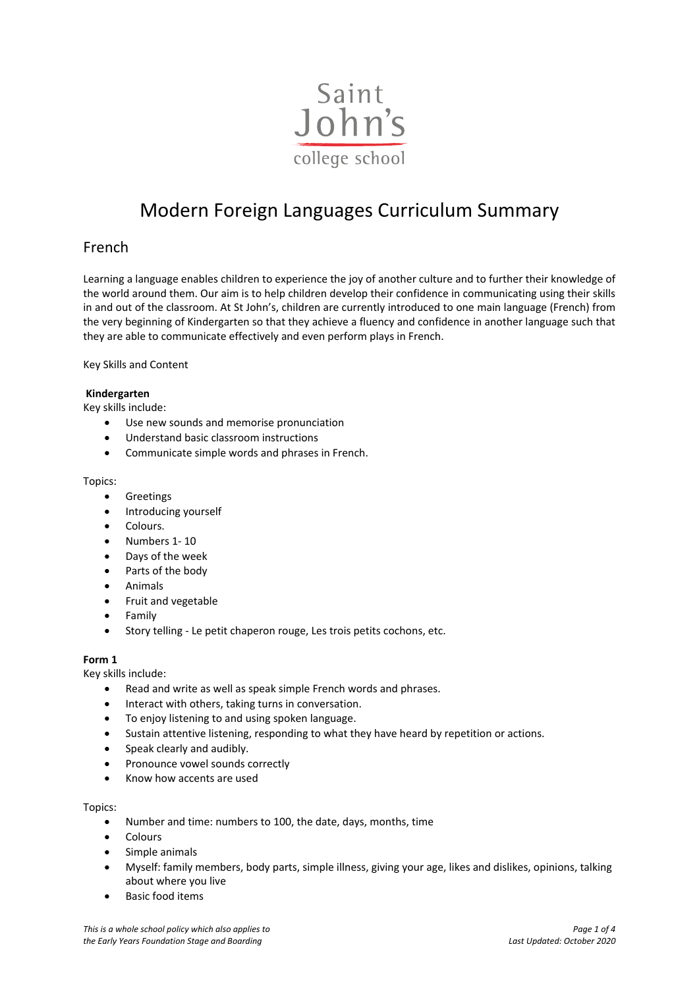

# Modern Foreign Languages Curriculum Summary

# French

Learning a language enables children to experience the joy of another culture and to further their knowledge of the world around them. Our aim is to help children develop their confidence in communicating using their skills in and out of the classroom. At St John's, children are currently introduced to one main language (French) from the very beginning of Kindergarten so that they achieve a fluency and confidence in another language such that they are able to communicate effectively and even perform plays in French.

Key Skills and Content

#### **Kindergarten**

Key skills include:

- Use new sounds and memorise pronunciation
- Understand basic classroom instructions
- Communicate simple words and phrases in French.

#### Topics:

- **•** Greetings
- Introducing yourself
- Colours.
- Numbers 1- 10
- Days of the week
- Parts of the body
- Animals
- Fruit and vegetable
- Family
- Story telling Le petit chaperon rouge, Les trois petits cochons, etc.

# **Form 1**

Key skills include:

- Read and write as well as speak simple French words and phrases.
- Interact with others, taking turns in conversation.
- To enjoy listening to and using spoken language.
- Sustain attentive listening, responding to what they have heard by repetition or actions.
- Speak clearly and audibly.
- Pronounce vowel sounds correctly
- Know how accents are used

#### Topics:

- Number and time: numbers to 100, the date, days, months, time
- Colours
- Simple animals
- Myself: family members, body parts, simple illness, giving your age, likes and dislikes, opinions, talking about where you live
- Basic food items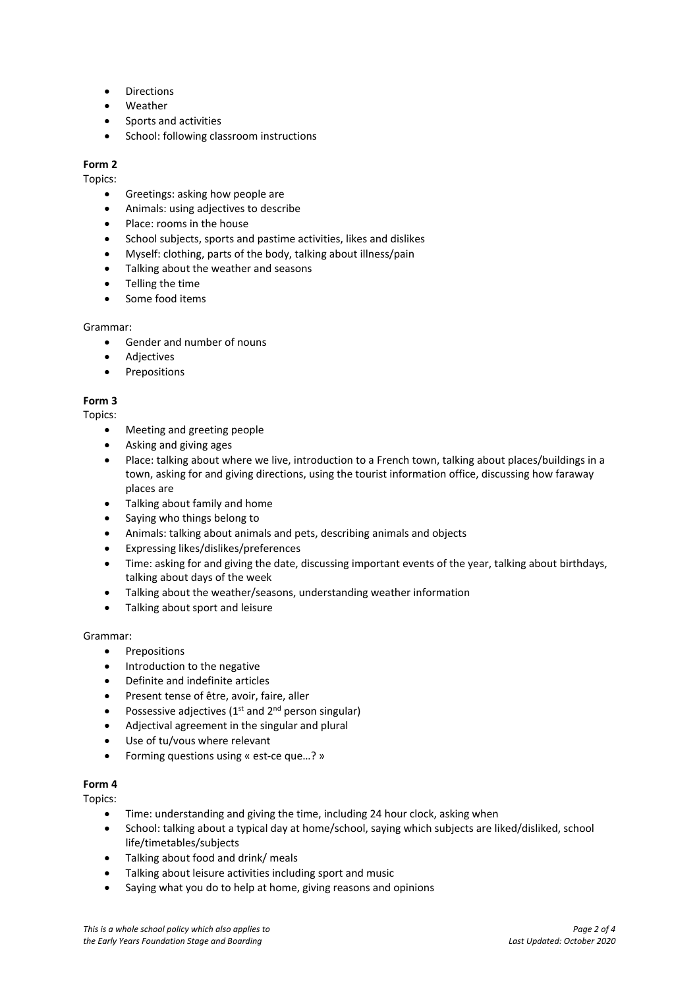- Directions
- Weather
- Sports and activities
- School: following classroom instructions

# **Form 2**

#### Topics:

- Greetings: asking how people are
- Animals: using adjectives to describe
- Place: rooms in the house
- School subjects, sports and pastime activities, likes and dislikes
- Myself: clothing, parts of the body, talking about illness/pain
- Talking about the weather and seasons
- Telling the time
- Some food items

#### Grammar:

- Gender and number of nouns
- Adjectives
- Prepositions

#### **Form 3**

#### Topics:

- Meeting and greeting people
- Asking and giving ages
- Place: talking about where we live, introduction to a French town, talking about places/buildings in a town, asking for and giving directions, using the tourist information office, discussing how faraway places are
- Talking about family and home
- Saying who things belong to
- Animals: talking about animals and pets, describing animals and objects
- Expressing likes/dislikes/preferences
- Time: asking for and giving the date, discussing important events of the year, talking about birthdays, talking about days of the week
- Talking about the weather/seasons, understanding weather information
- Talking about sport and leisure

#### Grammar:

- Prepositions
- Introduction to the negative
- Definite and indefinite articles
- Present tense of être, avoir, faire, aller
- Possessive adjectives ( $1<sup>st</sup>$  and  $2<sup>nd</sup>$  person singular)
- Adjectival agreement in the singular and plural
- Use of tu/vous where relevant
- Forming questions using « est-ce que…? »

# **Form 4**

#### Topics:

- Time: understanding and giving the time, including 24 hour clock, asking when
- School: talking about a typical day at home/school, saying which subjects are liked/disliked, school life/timetables/subjects
- Talking about food and drink/ meals
- Talking about leisure activities including sport and music
- Saying what you do to help at home, giving reasons and opinions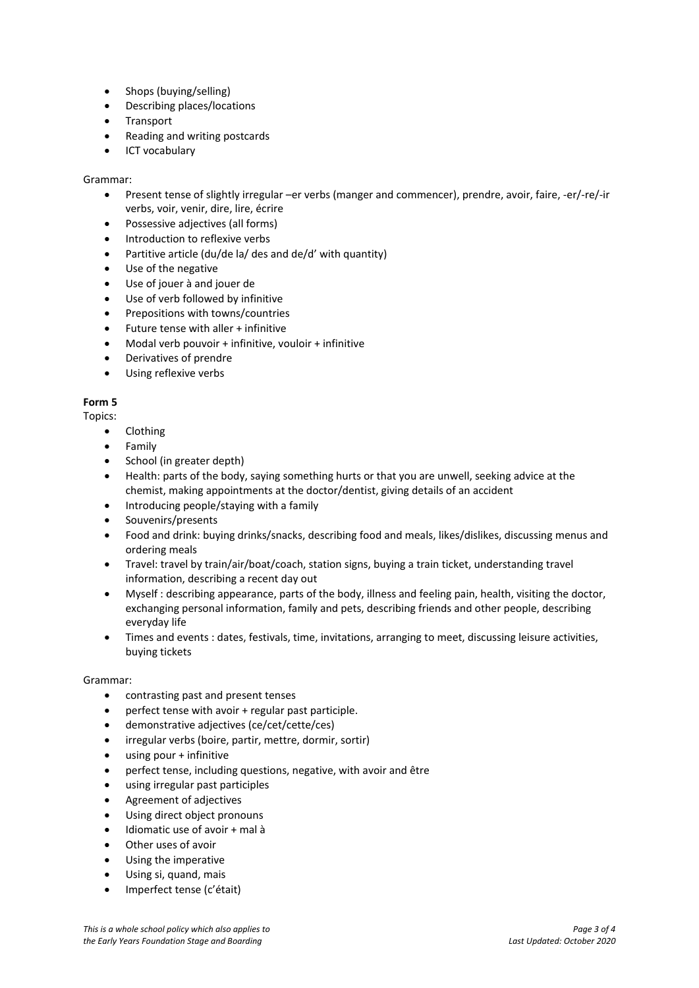- Shops (buying/selling)
- Describing places/locations
- **Transport**
- Reading and writing postcards
- ICT vocabulary

### Grammar:

- Present tense of slightly irregular –er verbs (manger and commencer), prendre, avoir, faire, -er/-re/-ir verbs, voir, venir, dire, lire, écrire
- Possessive adjectives (all forms)
- Introduction to reflexive verbs
- Partitive article (du/de la/ des and de/d' with quantity)
- Use of the negative
- Use of jouer à and jouer de
- Use of verb followed by infinitive
- Prepositions with towns/countries
- Future tense with aller + infinitive
- Modal verb pouvoir + infinitive, vouloir + infinitive
- Derivatives of prendre
- Using reflexive verbs

# **Form 5**

Topics:

- Clothing
- Family
- School (in greater depth)
- Health: parts of the body, saying something hurts or that you are unwell, seeking advice at the chemist, making appointments at the doctor/dentist, giving details of an accident
- Introducing people/staying with a family
- Souvenirs/presents
- Food and drink: buying drinks/snacks, describing food and meals, likes/dislikes, discussing menus and ordering meals
- Travel: travel by train/air/boat/coach, station signs, buying a train ticket, understanding travel information, describing a recent day out
- Myself : describing appearance, parts of the body, illness and feeling pain, health, visiting the doctor, exchanging personal information, family and pets, describing friends and other people, describing everyday life
- Times and events : dates, festivals, time, invitations, arranging to meet, discussing leisure activities, buying tickets

#### Grammar:

- contrasting past and present tenses
- perfect tense with avoir + regular past participle.
- demonstrative adjectives (ce/cet/cette/ces)
- irregular verbs (boire, partir, mettre, dormir, sortir)
- using pour + infinitive
- perfect tense, including questions, negative, with avoir and être
- using irregular past participles
- Agreement of adjectives
- Using direct object pronouns
- Idiomatic use of avoir + mal à
- Other uses of avoir
- Using the imperative
- Using si, quand, mais
- Imperfect tense (c'était)